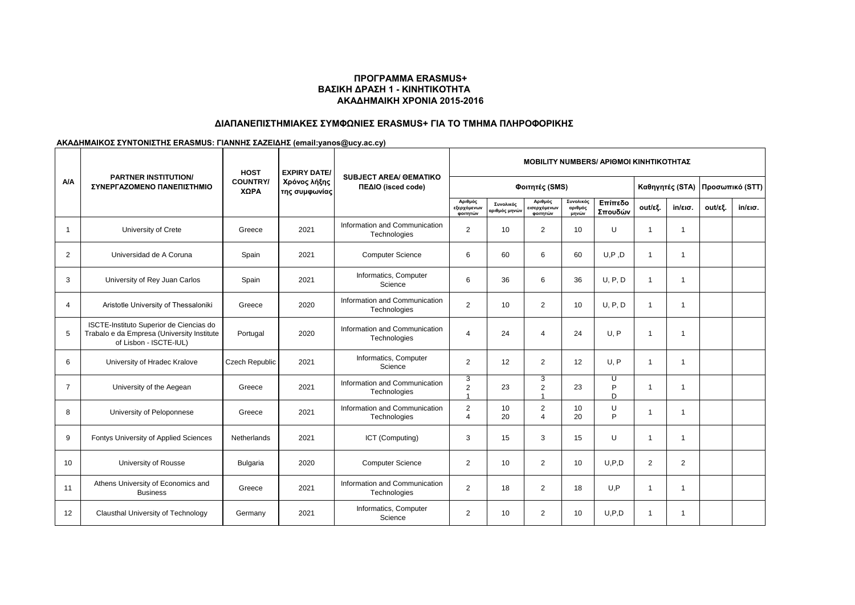## **ΠΡΟΓΡΑΜΜΑ ERASMUS+ ΒΑΣΙΚΗ ΔΡΑΣΗ 1 - ΚΙΝΗΤΙΚΟΤΗΤΑ ΑΚΑΔΗΜΑΙΚΗ ΧΡΟΝΙΑ 2015-2016**

# **ΔΙΑΠΑΝΕΠΙΣΤΗΜΙΑΚΕΣ ΣΥΜΦΩΝΙΕΣ ERASMUS+ ΓΙΑ ΤΟ ΤΜΗΜΑ ΠΛΗΡΟΦΟΡΙΚΗΣ**

### **ΑΚΑΔΗΜΑΙΚΟΣ ΣΥΝΤΟΝΙΣΤΗΣ ERASMUS: ΓΙΑΝΝΗΣ ΣΑΖΕΙΔΗΣ (email:yanos@ucy.ac.cy)**

| A/A            | <b>PARTNER INSTITUTION/</b><br>ΣΥΝΕΡΓΑΖΟΜΕΝΟ ΠΑΝΕΠΙΣΤΗΜΙΟ                                                       | <b>HOST</b><br><b>COUNTRY/</b><br>ΧΩΡΑ | <b>EXPIRY DATE/</b><br>Χρόνος λήξης<br>της συμφωνίας | <b>SUBJECT AREA/ OEMATIKO</b><br>ΠΕΔΙΟ (isced code) | <b>MOBILITY NUMBERS/ APIOMOI KINHTIKOTHTAZ</b> |                            |                                          |                               |                    |                 |                         |                 |                   |
|----------------|-----------------------------------------------------------------------------------------------------------------|----------------------------------------|------------------------------------------------------|-----------------------------------------------------|------------------------------------------------|----------------------------|------------------------------------------|-------------------------------|--------------------|-----------------|-------------------------|-----------------|-------------------|
|                |                                                                                                                 |                                        |                                                      |                                                     | Φοιτητές (SMS)                                 |                            |                                          |                               |                    | Καθηγητές (STA) |                         | Προσωπικό (STT) |                   |
|                |                                                                                                                 |                                        |                                                      |                                                     | Αριθμός<br>εξερχόμενων<br>φοιτητών             | Συνολικός<br>αριθμός μηνών | Αριθμός<br>εισερχόμενων<br>φοιτητών      | Συνολικός<br>αριθμός<br>μηνών | Επίπεδο<br>Σπουδών | out/εξ.         | $in/\epsilon$ ισ.       | out/εξ.         | $in/\epsilon$ ισ. |
| $\mathbf{1}$   | University of Crete                                                                                             | Greece                                 | 2021                                                 | Information and Communication<br>Technologies       | $\overline{2}$                                 | 10                         | $\overline{2}$                           | 10                            | U                  | -1              | $\mathbf{1}$            |                 |                   |
| 2              | Universidad de A Coruna                                                                                         | Spain                                  | 2021                                                 | <b>Computer Science</b>                             | 6                                              | 60                         | 6                                        | 60                            | U, P, D            | $\mathbf 1$     | $\mathbf 1$             |                 |                   |
| 3              | University of Rey Juan Carlos                                                                                   | Spain                                  | 2021                                                 | Informatics, Computer<br>Science                    | 6                                              | 36                         | 6                                        | 36                            | U, P, D            | $\overline{1}$  | $\mathbf{1}$            |                 |                   |
| $\overline{4}$ | Aristotle University of Thessaloniki                                                                            | Greece                                 | 2020                                                 | Information and Communication<br>Technologies       | $\overline{2}$                                 | 10                         | $\overline{2}$                           | 10                            | U, P, D            | $\mathbf 1$     | $\mathbf 1$             |                 |                   |
| 5              | ISCTE-Instituto Superior de Ciencias do<br>Trabalo e da Empresa (University Institute<br>of Lisbon - ISCTE-IUL) | Portugal                               | 2020                                                 | Information and Communication<br>Technologies       | 4                                              | 24                         | 4                                        | 24                            | U. P               | -1              | $\overline{\mathbf{1}}$ |                 |                   |
| 6              | University of Hradec Kralove                                                                                    | Czech Republic                         | 2021                                                 | Informatics, Computer<br>Science                    | $\overline{2}$                                 | 12                         | $\overline{2}$                           | 12                            | U, P               | -1              |                         |                 |                   |
| $\overline{7}$ | University of the Aegean                                                                                        | Greece                                 | 2021                                                 | Information and Communication<br>Technologies       | 3<br>$\overline{2}$                            | 23                         | 3<br>$\overline{2}$                      | 23                            | U<br>P<br>D.       | -1              | $\mathbf 1$             |                 |                   |
| 8              | University of Peloponnese                                                                                       | Greece                                 | 2021                                                 | Information and Communication<br>Technologies       | $\overline{2}$<br>4                            | 10<br>20                   | $\overline{2}$<br>$\boldsymbol{\Lambda}$ | 10<br>20                      | U<br>D             |                 |                         |                 |                   |
| 9              | Fontys University of Applied Sciences                                                                           | Netherlands                            | 2021                                                 | ICT (Computing)                                     | 3                                              | 15                         | 3                                        | 15                            | U                  | -1              | $\mathbf 1$             |                 |                   |
| 10             | University of Rousse                                                                                            | <b>Bulgaria</b>                        | 2020                                                 | <b>Computer Science</b>                             | $\overline{2}$                                 | 10                         | $\overline{2}$                           | 10                            | U.P.D              | 2               | $\overline{2}$          |                 |                   |
| 11             | Athens University of Economics and<br><b>Business</b>                                                           | Greece                                 | 2021                                                 | Information and Communication<br>Technologies       | $\overline{2}$                                 | 18                         | $\overline{2}$                           | 18                            | U, P               | -1              | $\mathbf 1$             |                 |                   |
| 12             | Clausthal University of Technology                                                                              | Germany                                | 2021                                                 | Informatics, Computer<br>Science                    | $\overline{2}$                                 | 10                         | $\overline{2}$                           | 10                            | U.P.D              | -1              | -1                      |                 |                   |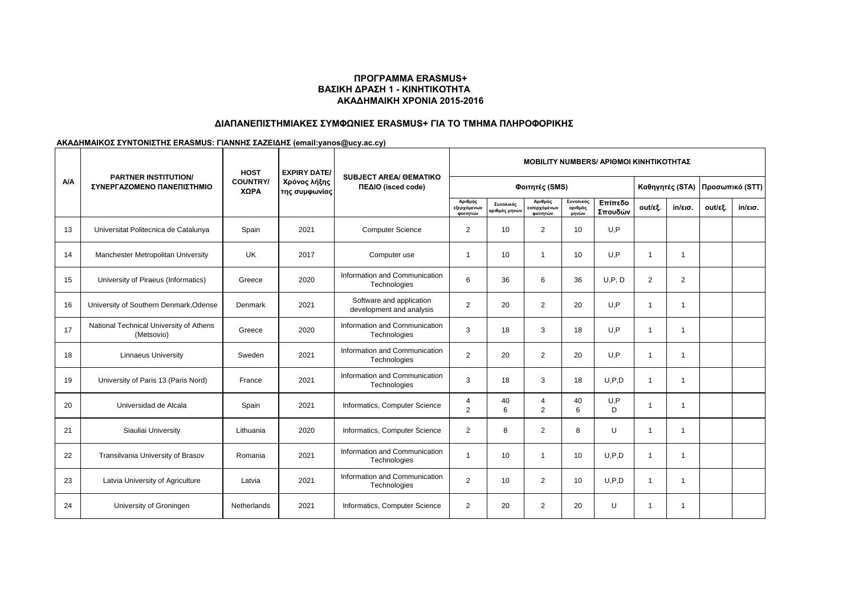## **ΠΡΟΓΡΑΜΜΑ ERASMUS+ ΒΑΣΙΚΗ ΔΡΑΣΗ 1 - ΚΙΝΗΤΙΚΟΤΗΤΑ ΑΚΑΔΗΜΑΙΚΗ ΧΡΟΝΙΑ 2015-2016**

# **ΔΙΑΠΑΝΕΠΙΣΤΗΜΙΑΚΕΣ ΣΥΜΦΩΝΙΕΣ ERASMUS+ ΓΙΑ ΤΟ ΤΜΗΜΑ ΠΛΗΡΟΦΟΡΙΚΗΣ**

### **ΑΚΑΔΗΜΑΙΚΟΣ ΣΥΝΤΟΝΙΣΤΗΣ ERASMUS: ΓΙΑΝΝΗΣ ΣΑΖΕΙΔΗΣ (email:yanos@ucy.ac.cy)**

| A/A | <b>PARTNER INSTITUTION/</b><br>ΣΥΝΕΡΓΑΖΟΜΕΝΟ ΠΑΝΕΠΙΣΤΗΜΙΟ | <b>HOST</b><br><b>COUNTRY/</b><br>ΧΩΡΑ | <b>EXPIRY DATE/</b><br>Χρόνος λήξης<br>της συμφωνίας | <b>SUBJECT AREA/ OEMATIKO</b><br>ΠΕΔΙΟ (isced code)  | <b>MOBILITY NUMBERS/ APIOMOI KINHTIKOTHTAZ</b> |                                          |                                     |                               |                    |                         |                               |                 |         |
|-----|-----------------------------------------------------------|----------------------------------------|------------------------------------------------------|------------------------------------------------------|------------------------------------------------|------------------------------------------|-------------------------------------|-------------------------------|--------------------|-------------------------|-------------------------------|-----------------|---------|
|     |                                                           |                                        |                                                      |                                                      | Φοιτητές (SMS)                                 |                                          |                                     |                               |                    | Καθηγητές (STA)         |                               | Προσωπικό (STT) |         |
|     |                                                           |                                        |                                                      |                                                      | Αριθμός<br>εξερχόμενων<br>φοιτητών             | Συνολικός<br>αριθμός μηνώ <mark>ν</mark> | Αριθμός<br>εισερχόμενων<br>φοιτητών | Συνολικός<br>αριθμός<br>μηνών | Επίπεδο<br>Σπουδών | out/εξ.                 | $in/\epsilon$ <sub>10</sub> . | out/εξ.         | in/εισ. |
| 13  | Universitat Politecnica de Catalunya                      | Spain                                  | 2021                                                 | <b>Computer Science</b>                              | $\overline{2}$                                 | 10                                       | 2                                   | 10                            | U,P                |                         |                               |                 |         |
| 14  | Manchester Metropolitan University                        | UK                                     | 2017                                                 | Computer use                                         | 1                                              | 10                                       | $\overline{1}$                      | 10                            | U.P                |                         | -1                            |                 |         |
| 15  | University of Piraeus (Informatics)                       | Greece                                 | 2020                                                 | Information and Communication<br>Technologies        | 6                                              | 36                                       | 6                                   | 36                            | U, P, D            | 2                       | $\overline{2}$                |                 |         |
| 16  | University of Southern Denmark, Odense                    | Denmark                                | 2021                                                 | Software and application<br>development and analysis | 2                                              | 20                                       | 2                                   | 20                            | U.P                | -1                      | -1                            |                 |         |
| 17  | National Technical University of Athens<br>(Metsovio)     | Greece                                 | 2020                                                 | Information and Communication<br>Technologies        | 3                                              | 18                                       | 3                                   | 18                            | U.P                | -1                      | -1                            |                 |         |
| 18  | <b>Linnaeus University</b>                                | Sweden                                 | 2021                                                 | Information and Communication<br>Technologies        | $\overline{2}$                                 | 20                                       | 2                                   | 20                            | U,P                | -1                      | -1                            |                 |         |
| 19  | University of Paris 13 (Paris Nord)                       | France                                 | 2021                                                 | Information and Communication<br>Technologies        | 3                                              | 18                                       | 3                                   | 18                            | U.P.D              | $\overline{1}$          | $\overline{1}$                |                 |         |
| 20  | Universidad de Alcala                                     | Spain                                  | 2021                                                 | Informatics, Computer Science                        | 4<br>$\overline{2}$                            | 40<br>6                                  | 4<br>2                              | 40<br>6                       | U, P<br>D.         | -1                      | -1                            |                 |         |
| 21  | Siauliai University                                       | Lithuania                              | 2020                                                 | Informatics, Computer Science                        | $\overline{2}$                                 | 8                                        | 2                                   | 8                             | U                  | -1                      | -1                            |                 |         |
| 22  | Transilvania University of Brasov                         | Romania                                | 2021                                                 | Information and Communication<br>Technologies        | 1                                              | 10                                       | -1                                  | 10                            | U.P.D              | $\overline{1}$          | -1                            |                 |         |
| 23  | Latvia University of Agriculture                          | Latvia                                 | 2021                                                 | Information and Communication<br>Technologies        | $\overline{2}$                                 | 10                                       | 2                                   | 10                            | U.P.D              | $\overline{\mathbf{1}}$ | -1                            |                 |         |
| 24  | University of Groningen                                   | <b>Netherlands</b>                     | 2021                                                 | Informatics, Computer Science                        | $\overline{2}$                                 | 20                                       | 2                                   | 20                            | U                  |                         | -1                            |                 |         |